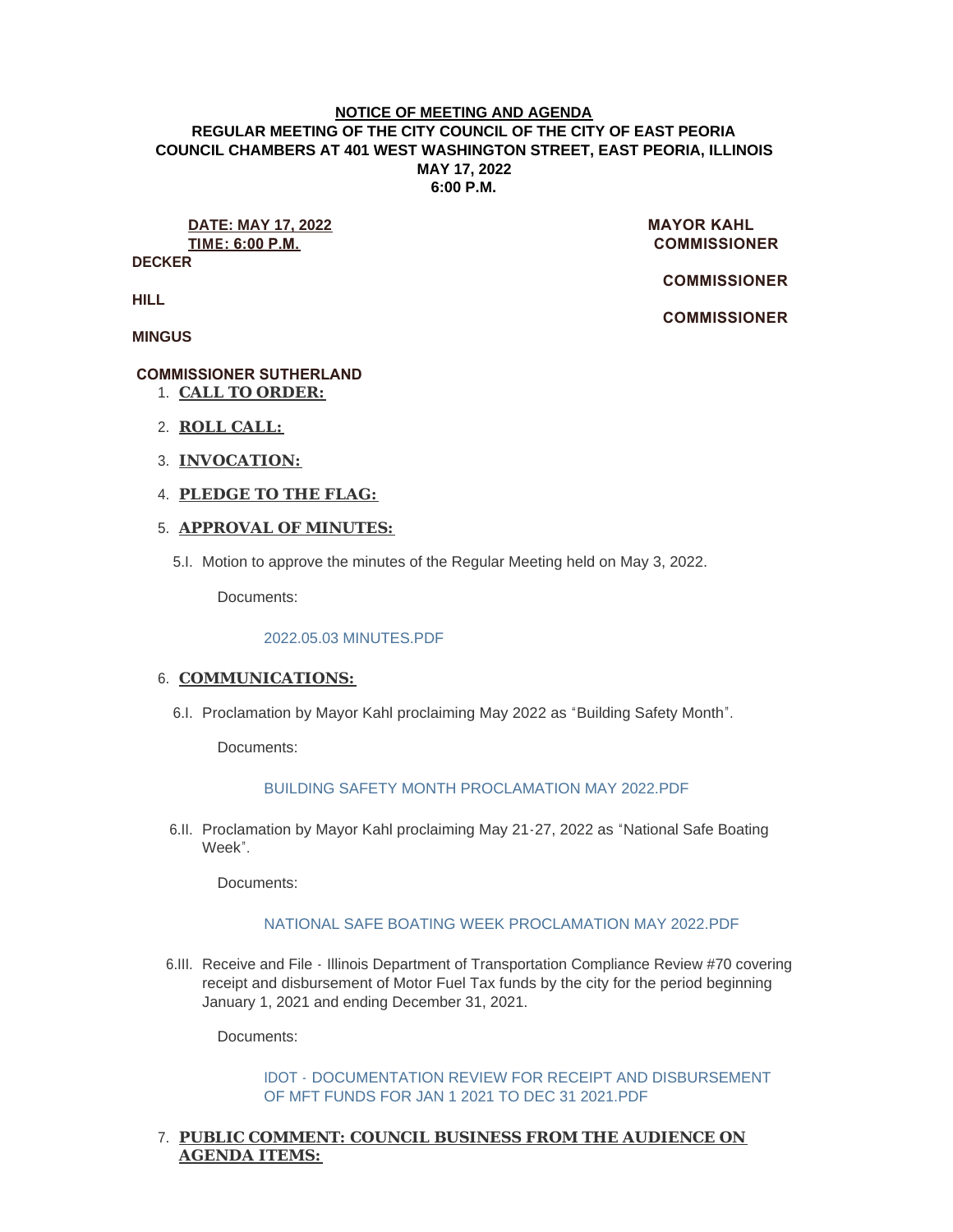#### **NOTICE OF MEETING AND AGENDA REGULAR MEETING OF THE CITY COUNCIL OF THE CITY OF EAST PEORIA COUNCIL CHAMBERS AT 401 WEST WASHINGTON STREET, EAST PEORIA, ILLINOIS MAY 17, 2022 6:00 P.M.**

**DATE: MAY 17, 2022** MAYOR KAHL **TIME: 6:00 P.M. COMMISSIONER** 

**DECKER**

 **COMMISSIONER** 

 **COMMISSIONER** 

**HILL**

**MINGUS**

# **COMMISSIONER SUTHERLAND**

- **CALL TO ORDER:** 1.
- **ROLL CALL:** 2.
- **INVOCATION:** 3.
- **PLEDGE TO THE FLAG:** 4.

# **APPROVAL OF MINUTES:** 5.

5.I. Motion to approve the minutes of the Regular Meeting held on May 3, 2022.

Documents:

## [2022.05.03 MINUTES.PDF](https://www.cityofeastpeoria.com/AgendaCenter/ViewFile/Item/4401?fileID=29707)

# 6. COMMUNICATIONS:

6.I. Proclamation by Mayor Kahl proclaiming May 2022 as "Building Safety Month".

Documents:

## [BUILDING SAFETY MONTH PROCLAMATION MAY 2022.PDF](https://www.cityofeastpeoria.com/AgendaCenter/ViewFile/Item/4402?fileID=29708)

6.II. Proclamation by Mayor Kahl proclaiming May 21-27, 2022 as "National Safe Boating Week".

Documents:

## [NATIONAL SAFE BOATING WEEK PROCLAMATION MAY 2022.PDF](https://www.cityofeastpeoria.com/AgendaCenter/ViewFile/Item/4403?fileID=29709)

6.III. Receive and File - Illinois Department of Transportation Compliance Review #70 covering receipt and disbursement of Motor Fuel Tax funds by the city for the period beginning January 1, 2021 and ending December 31, 2021.

Documents:

IDOT - [DOCUMENTATION REVIEW FOR RECEIPT AND DISBURSEMENT](https://www.cityofeastpeoria.com/AgendaCenter/ViewFile/Item/4404?fileID=29710)  OF MFT FUNDS FOR JAN 1 2021 TO DEC 31 2021.PDF

# **PUBLIC COMMENT: COUNCIL BUSINESS FROM THE AUDIENCE ON**  7. **AGENDA ITEMS:**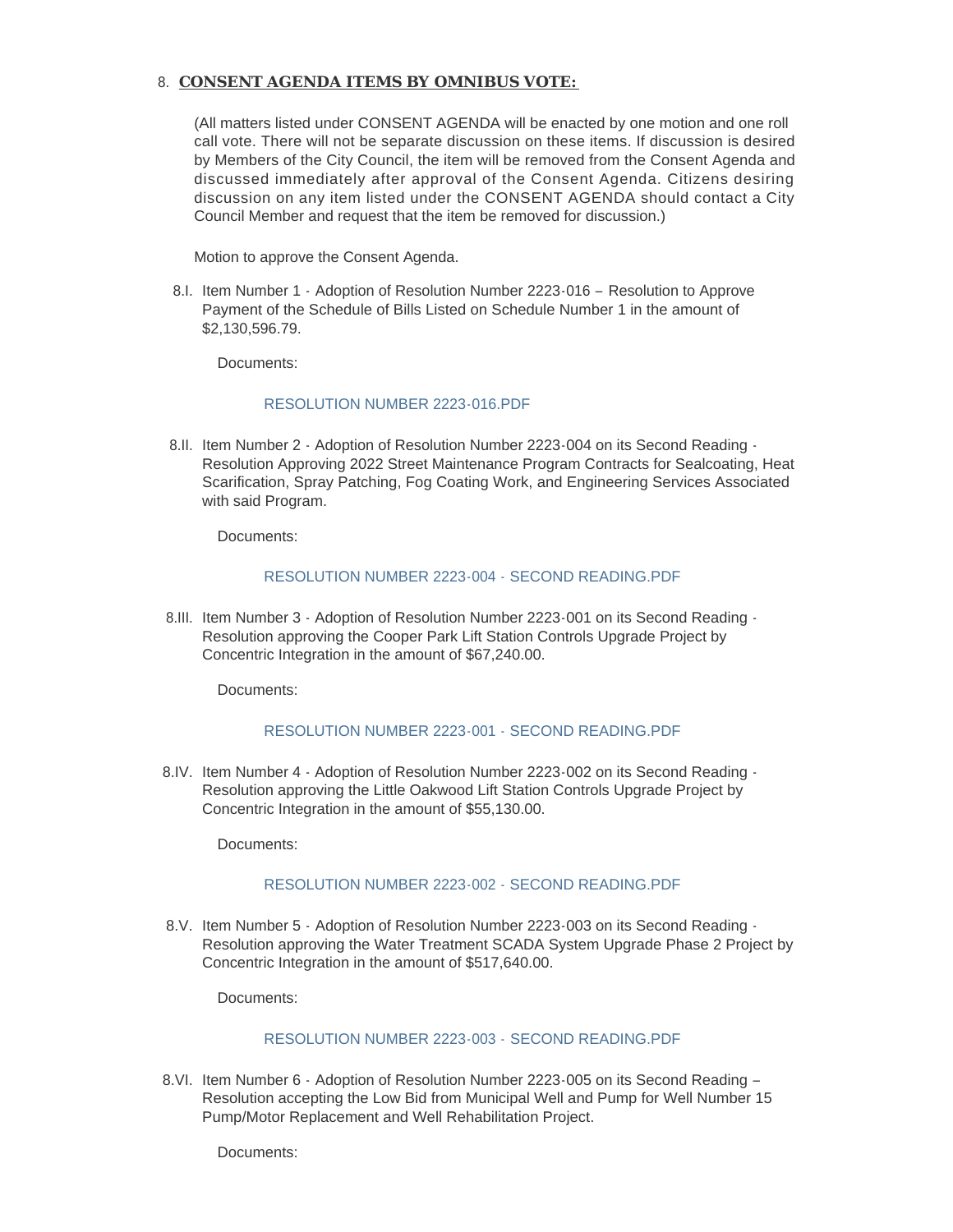## **CONSENT AGENDA ITEMS BY OMNIBUS VOTE:**  8.

(All matters listed under CONSENT AGENDA will be enacted by one motion and one roll call vote. There will not be separate discussion on these items. If discussion is desired by Members of the City Council, the item will be removed from the Consent Agenda and discussed immediately after approval of the Consent Agenda. Citizens desiring discussion on any item listed under the CONSENT AGENDA should contact a City Council Member and request that the item be removed for discussion.)

Motion to approve the Consent Agenda.

8.I. Item Number 1 - Adoption of Resolution Number 2223-016 - Resolution to Approve Payment of the Schedule of Bills Listed on Schedule Number 1 in the amount of \$2,130,596.79.

Documents:

#### [RESOLUTION NUMBER 2223-016.PDF](https://www.cityofeastpeoria.com/AgendaCenter/ViewFile/Item/4414?fileID=29720)

8.II. Item Number 2 - Adoption of Resolution Number 2223-004 on its Second Reading -Resolution Approving 2022 Street Maintenance Program Contracts for Sealcoating, Heat Scarification, Spray Patching, Fog Coating Work, and Engineering Services Associated with said Program.

Documents:

## [RESOLUTION NUMBER 2223-004 - SECOND READING.PDF](https://www.cityofeastpeoria.com/AgendaCenter/ViewFile/Item/4405?fileID=29711)

8.III. Item Number 3 - Adoption of Resolution Number 2223-001 on its Second Reading -Resolution approving the Cooper Park Lift Station Controls Upgrade Project by Concentric Integration in the amount of \$67,240.00.

Documents:

## [RESOLUTION NUMBER 2223-001 - SECOND READING.PDF](https://www.cityofeastpeoria.com/AgendaCenter/ViewFile/Item/4406?fileID=29712)

8.IV. Item Number 4 - Adoption of Resolution Number 2223-002 on its Second Reading -Resolution approving the Little Oakwood Lift Station Controls Upgrade Project by Concentric Integration in the amount of \$55,130.00.

Documents:

## [RESOLUTION NUMBER 2223-002 - SECOND READING.PDF](https://www.cityofeastpeoria.com/AgendaCenter/ViewFile/Item/4407?fileID=29713)

8.V. Item Number 5 - Adoption of Resolution Number 2223-003 on its Second Reading -Resolution approving the Water Treatment SCADA System Upgrade Phase 2 Project by Concentric Integration in the amount of \$517,640.00.

Documents:

## [RESOLUTION NUMBER 2223-003 -](https://www.cityofeastpeoria.com/AgendaCenter/ViewFile/Item/4408?fileID=29714) SECOND READING.PDF

8.VI. Item Number 6 - Adoption of Resolution Number 2223-005 on its Second Reading -Resolution accepting the Low Bid from Municipal Well and Pump for Well Number 15 Pump/Motor Replacement and Well Rehabilitation Project.

Documents: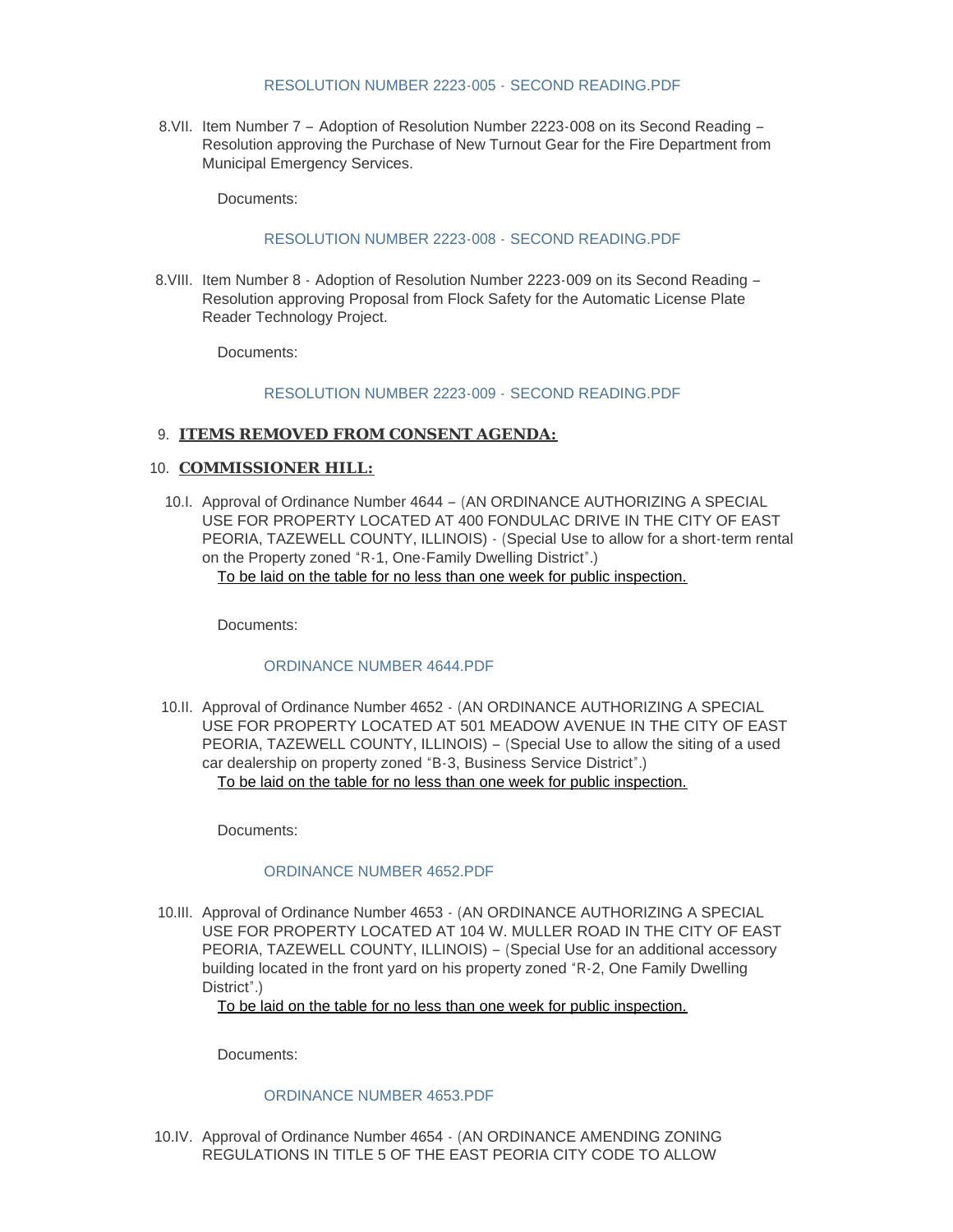#### [RESOLUTION NUMBER 2223-005 -](https://www.cityofeastpeoria.com/AgendaCenter/ViewFile/Item/4409?fileID=29715) SECOND READING.PDF

8.VII. Item Number 7 - Adoption of Resolution Number 2223-008 on its Second Reading -Resolution approving the Purchase of New Turnout Gear for the Fire Department from Municipal Emergency Services.

Documents:

#### [RESOLUTION NUMBER 2223-008 -](https://www.cityofeastpeoria.com/AgendaCenter/ViewFile/Item/4410?fileID=29716) SECOND READING.PDF

8.VIII. Item Number 8 - Adoption of Resolution Number 2223-009 on its Second Reading -Resolution approving Proposal from Flock Safety for the Automatic License Plate Reader Technology Project.

Documents:

#### [RESOLUTION NUMBER 2223-009 -](https://www.cityofeastpeoria.com/AgendaCenter/ViewFile/Item/4411?fileID=29717) SECOND READING.PDF

#### **ITEMS REMOVED FROM CONSENT AGENDA:** 9.

#### 10. **COMMISSIONER HILL:**

10.I. Approval of Ordinance Number 4644 - (AN ORDINANCE AUTHORIZING A SPECIAL USE FOR PROPERTY LOCATED AT 400 FONDULAC DRIVE IN THE CITY OF EAST PEORIA, TAZEWELL COUNTY, ILLINOIS) - (Special Use to allow for a short-term rental on the Property zoned "R-1, One-Family Dwelling District".) To be laid on the table for no less than one week for public inspection.

Documents:

## [ORDINANCE NUMBER 4644.PDF](https://www.cityofeastpeoria.com/AgendaCenter/ViewFile/Item/4413?fileID=29719)

10.II. Approval of Ordinance Number 4652  $\cdot$  (AN ORDINANCE AUTHORIZING A SPECIAL USE FOR PROPERTY LOCATED AT 501 MEADOW AVENUE IN THE CITY OF EAST PEORIA, TAZEWELL COUNTY, ILLINOIS) – (Special Use to allow the siting of a used car dealership on property zoned "B-3, Business Service District".) To be laid on the table for no less than one week for public inspection.

Documents:

## [ORDINANCE NUMBER 4652.PDF](https://www.cityofeastpeoria.com/AgendaCenter/ViewFile/Item/4415?fileID=29721)

10.III. Approval of Ordinance Number 4653  $\cdot$  (AN ORDINANCE AUTHORIZING A SPECIAL USE FOR PROPERTY LOCATED AT 104 W. MULLER ROAD IN THE CITY OF EAST PEORIA, TAZEWELL COUNTY, ILLINOIS) – (Special Use for an additional accessory building located in the front yard on his property zoned "R-2, One Family Dwelling District".)

To be laid on the table for no less than one week for public inspection.

Documents:

#### [ORDINANCE NUMBER 4653.PDF](https://www.cityofeastpeoria.com/AgendaCenter/ViewFile/Item/4416?fileID=29722)

10.IV. Approval of Ordinance Number 4654 - (AN ORDINANCE AMENDING ZONING REGULATIONS IN TITLE 5 OF THE EAST PEORIA CITY CODE TO ALLOW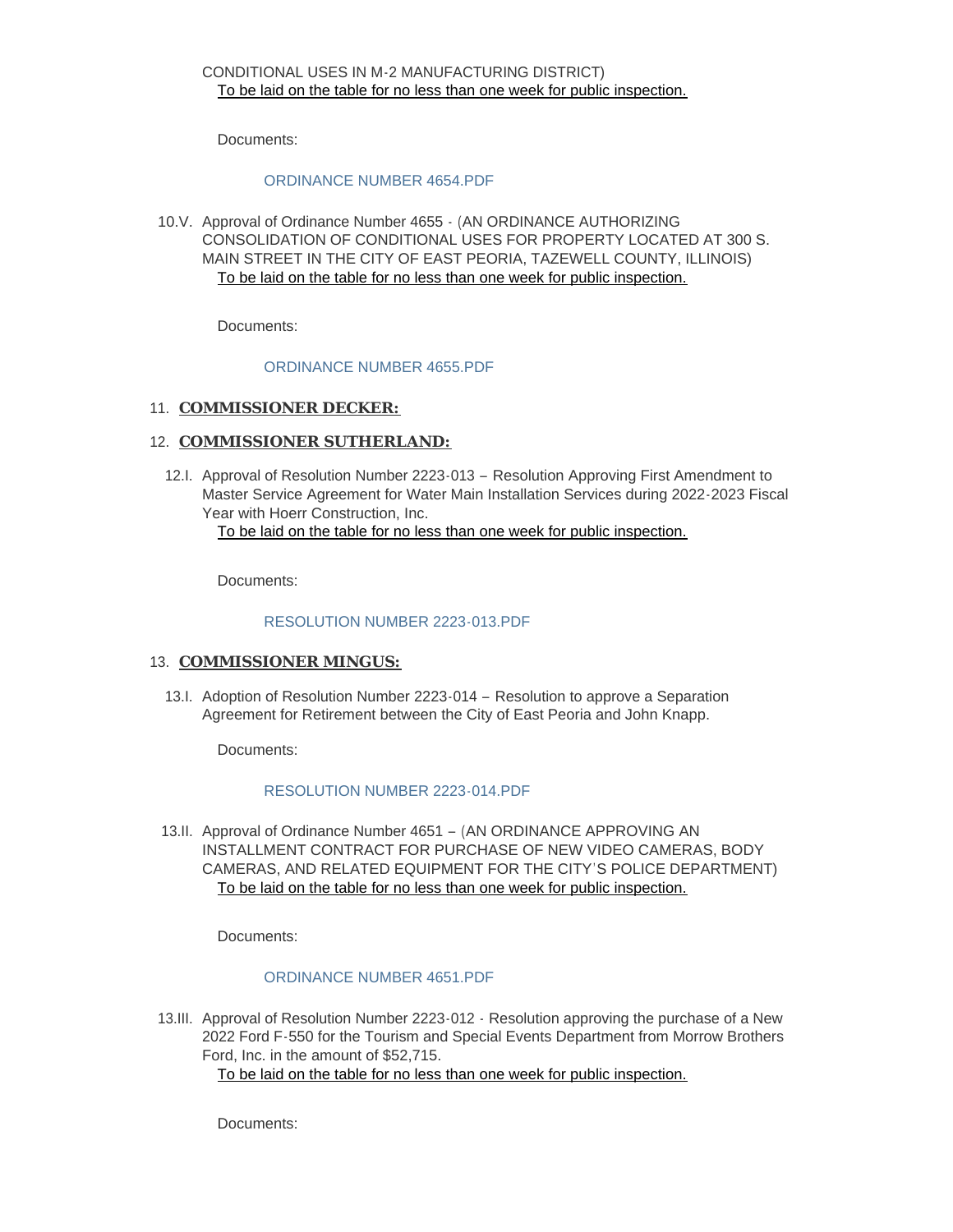Documents:

## [ORDINANCE NUMBER 4654.PDF](https://www.cityofeastpeoria.com/AgendaCenter/ViewFile/Item/4417?fileID=29723)

10.V. Approval of Ordinance Number 4655 - (AN ORDINANCE AUTHORIZING CONSOLIDATION OF CONDITIONAL USES FOR PROPERTY LOCATED AT 300 S. MAIN STREET IN THE CITY OF EAST PEORIA, TAZEWELL COUNTY, ILLINOIS) To be laid on the table for no less than one week for public inspection.

Documents:

#### [ORDINANCE NUMBER 4655.PDF](https://www.cityofeastpeoria.com/AgendaCenter/ViewFile/Item/4418?fileID=29724)

# 11. **COMMISSIONER DECKER:**

# 12. **COMMISSIONER SUTHERLAND:**

12.I. Approval of Resolution Number 2223-013 - Resolution Approving First Amendment to Master Service Agreement for Water Main Installation Services during 2022-2023 Fiscal Year with Hoerr Construction, Inc. To be laid on the table for no less than one week for public inspection.

Documents:

#### [RESOLUTION NUMBER 2223-013.PDF](https://www.cityofeastpeoria.com/AgendaCenter/ViewFile/Item/4419?fileID=29725)

# 13. **COMMISSIONER MINGUS:**

13.I. Adoption of Resolution Number 2223-014 - Resolution to approve a Separation Agreement for Retirement between the City of East Peoria and John Knapp.

Documents:

#### [RESOLUTION NUMBER 2223-014.PDF](https://www.cityofeastpeoria.com/AgendaCenter/ViewFile/Item/4420?fileID=29730)

13.II. Approval of Ordinance Number 4651 - (AN ORDINANCE APPROVING AN INSTALLMENT CONTRACT FOR PURCHASE OF NEW VIDEO CAMERAS, BODY CAMERAS, AND RELATED EQUIPMENT FOR THE CITY'S POLICE DEPARTMENT) To be laid on the table for no less than one week for public inspection.

Documents:

## [ORDINANCE NUMBER 4651.PDF](https://www.cityofeastpeoria.com/AgendaCenter/ViewFile/Item/4421?fileID=29727)

13.III. Approval of Resolution Number 2223-012 - Resolution approving the purchase of a New 2022 Ford F-550 for the Tourism and Special Events Department from Morrow Brothers Ford, Inc. in the amount of \$52,715.

To be laid on the table for no less than one week for public inspection.

Documents: